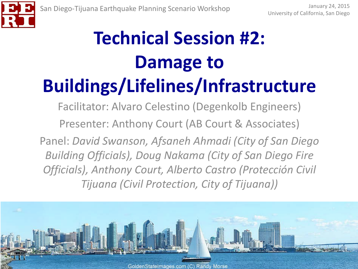

## **Technical Session #2: Damage to Buildings/Lifelines/Infrastructure**

Facilitator: Alvaro Celestino (Degenkolb Engineers) Presenter: Anthony Court (AB Court & Associates) Panel: *David Swanson, Afsaneh Ahmadi (City of San Diego Building Officials), Doug Nakama (City of San Diego Fire Officials), Anthony Court, Alberto Castro (Protección Civil Tijuana (Civil Protection, City of Tijuana))*